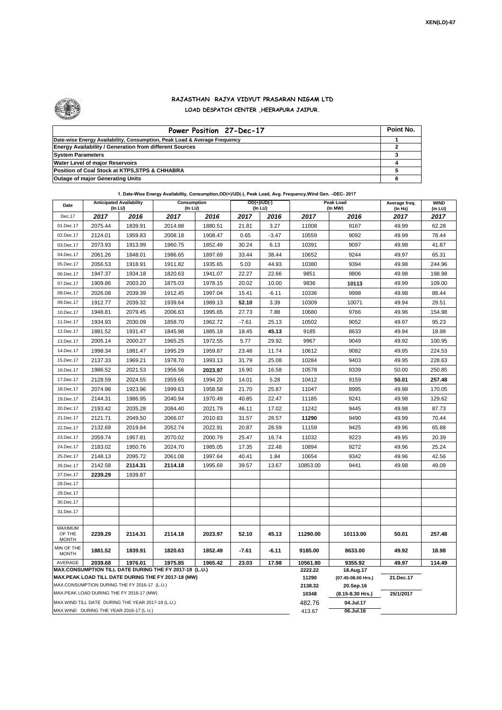

## **RAJASTHAN RAJYA VIDYUT PRASARAN NIGAM LTD LOAD DESPATCH CENTER ,HEERAPURA JAIPUR.**

| Power Position 27-Dec-17                                                  |  |  |  |  |  |  |  |
|---------------------------------------------------------------------------|--|--|--|--|--|--|--|
| Date-wise Energy Availability, Consumption, Peak Load & Average Frequency |  |  |  |  |  |  |  |
| <b>Energy Availability / Generation from different Sources</b>            |  |  |  |  |  |  |  |
| <b>System Parameters</b>                                                  |  |  |  |  |  |  |  |
| <b>Water Level of maior Reservoirs</b>                                    |  |  |  |  |  |  |  |
| Position of Coal Stock at KTPS, STPS & CHHABRA                            |  |  |  |  |  |  |  |
| <b>Outage of major Generating Units</b>                                   |  |  |  |  |  |  |  |

**1. Date-Wise Energy Availability, Consumption,OD(+)/UD(-), Peak Load, Avg. Frequency,Wind Gen. –DEC- 2017**

| Date                                                                                                         | <b>Anticipated Availability</b><br>(In LU)                 |         | Consumption<br>(In LU) |         |         | OD(+)/UD(-)<br>(In LU) | Peak Load<br>(In MW) |                                 | Average freq.<br>(In Hz) | <b>WIND</b><br>(in LU) |
|--------------------------------------------------------------------------------------------------------------|------------------------------------------------------------|---------|------------------------|---------|---------|------------------------|----------------------|---------------------------------|--------------------------|------------------------|
| Dec.17                                                                                                       | 2017                                                       | 2016    | 2017                   | 2016    | 2017    | 2016                   | 2017                 | 2016                            | 2017                     | 2017                   |
| 01.Dec.17                                                                                                    | 2075.44                                                    | 1839.91 | 2014.88                | 1880.51 | 21.81   | 3.27                   | 11008                | 9167                            | 49.99                    | 62.28                  |
| 02.Dec.17                                                                                                    | 2124.01                                                    | 1959.83 | 2008.18                | 1908.47 | 0.65    | $-3.47$                | 10559                | 9092                            | 49.99                    | 78.44                  |
| 03.Dec.17                                                                                                    | 2073.93                                                    | 1913.99 | 1960.75                | 1852.49 | 30.24   | 6.13                   | 10391                | 9097                            | 49.98                    | 41.87                  |
| 04.Dec.17                                                                                                    | 2061.26                                                    | 1848.01 | 1986.65                | 1897.69 | 33.44   | 38.44                  | 10652                | 9244                            | 49.97                    | 65.31                  |
| 05.Dec.17                                                                                                    | 2056.53                                                    | 1918.91 | 1911.82                | 1935.65 | 5.03    | 44.93                  | 10380                | 9394                            | 49.98                    | 244.96                 |
| 06.Dec.17                                                                                                    | 1947.37                                                    | 1934.18 | 1820.63                | 1941.07 | 22.27   | 22.66                  | 9851                 | 9806                            | 49.98                    | 198.98                 |
| 07.Dec.17                                                                                                    | 1909.86                                                    | 2003.20 | 1875.03                | 1978.15 | 20.02   | 10.00                  | 9836                 | 10113                           | 49.99                    | 109.00                 |
| 08.Dec.17                                                                                                    | 2026.08                                                    | 2039.39 | 1912.45                | 1997.04 | 15.41   | $-6.11$                | 10336                | 9998                            | 49.98                    | 88.44                  |
| 09.Dec.17                                                                                                    | 1912.77                                                    | 2039.32 | 1939.64                | 1989.13 | 52.10   | 3.39                   | 10309                | 10071                           | 49.94                    | 29.51                  |
| 10.Dec.17                                                                                                    | 1948.81                                                    | 2079.45 | 2006.63                | 1995.65 | 27.73   | 7.88                   | 10680                | 9766                            | 49.96                    | 154.98                 |
| 11.Dec.17                                                                                                    | 1934.93                                                    | 2030.09 | 1858.70                | 1962.72 | $-7.61$ | 25.13                  | 10502                | 9052                            | 49.97                    | 95.23                  |
| 12.Dec.17                                                                                                    | 1881.52                                                    | 1931.47 | 1845.98                | 1885.18 | 18.45   | 45.13                  | 9185                 | 8633                            | 49.94                    | 18.98                  |
| 13.Dec.17                                                                                                    | 2005.14                                                    | 2000.27 | 1965.25                | 1972.55 | 5.77    | 29.92                  | 9967                 | 9049                            | 49.92                    | 100.95                 |
| 14.Dec.17                                                                                                    | 1998.34                                                    | 1881.47 | 1995.29                | 1959.87 | 23.48   | 11.74                  | 10612                | 9082                            | 49.95                    | 224.53                 |
| 15.Dec.17                                                                                                    | 2137.33                                                    | 1969.21 | 1978.70                | 1993.13 | 31.79   | 25.08                  | 10284                | 9403                            | 49.95                    | 228.63                 |
| 16.Dec.17                                                                                                    | 1986.52                                                    | 2021.53 | 1956.56                | 2023.97 | 16.90   | 16.58                  | 10578                | 9339                            | 50.00                    | 250.85                 |
| 17.Dec.17                                                                                                    | 2128.59                                                    | 2024.55 | 1959.65                | 1994.20 | 14.01   | 5.28                   | 10412                | 9159                            | 50.01                    | 257.48                 |
| 18.Dec.17                                                                                                    | 2074.98                                                    | 1923.96 | 1999.63                | 1958.58 | 21.70   | 25.87                  | 11047                | 8995                            | 49.98                    | 170.05                 |
| 19.Dec.17                                                                                                    | 2144.31                                                    | 1986.95 | 2040.94                | 1970.49 | 40.85   | 22.47                  | 11185                | 9241                            | 49.98                    | 129.62                 |
| 20.Dec.17                                                                                                    | 2193.42                                                    | 2035.28 | 2084.40                | 2021.79 | 46.11   | 17.02                  | 11242                | 9445                            | 49.98                    | 87.73                  |
| 21.Dec.17                                                                                                    | 2121.71                                                    | 2049.50 | 2066.07                | 2010.83 | 31.57   | 28.57                  | 11290                | 9490                            | 49.99                    | 70.44                  |
| 22.Dec.17                                                                                                    | 2132.69                                                    | 2019.84 | 2052.74                | 2022.91 | 20.87   | 28.59                  | 11159                | 9425                            | 49.96                    | 65.88                  |
| 23.Dec.17                                                                                                    | 2059.74                                                    | 1957.81 | 2070.02                | 2000.79 | 25.47   | 16.74                  | 11032                | 9223                            | 49.95                    | 20.39                  |
| 24.Dec.17                                                                                                    | 2183.02                                                    | 1950.76 | 2024.70                | 1985.05 | 17.35   | 22.48                  | 10894                | 9272                            | 49.96                    | 25.24                  |
| 25.Dec.17                                                                                                    | 2148.13                                                    | 2095.72 | 2061.08                | 1997.64 | 40.41   | 1.84                   | 10654                | 9342                            | 49.96                    | 42.56                  |
| 26.Dec.17                                                                                                    | 2142.58                                                    | 2114.31 | 2114.18                | 1995.69 | 39.57   | 13.67                  | 10853.00             | 9441                            | 49.98                    | 49.09                  |
| 27.Dec.17                                                                                                    | 2239.29                                                    | 1939.87 |                        |         |         |                        |                      |                                 |                          |                        |
| 28.Dec.17                                                                                                    |                                                            |         |                        |         |         |                        |                      |                                 |                          |                        |
| 29.Dec.17                                                                                                    |                                                            |         |                        |         |         |                        |                      |                                 |                          |                        |
| 30.Dec.17                                                                                                    |                                                            |         |                        |         |         |                        |                      |                                 |                          |                        |
| 31.Dec.17                                                                                                    |                                                            |         |                        |         |         |                        |                      |                                 |                          |                        |
| MAXIMUM                                                                                                      |                                                            |         |                        |         |         |                        |                      |                                 |                          |                        |
| OF THE<br><b>MONTH</b>                                                                                       | 2239.29                                                    | 2114.31 | 2114.18                | 2023.97 | 52.10   | 45.13                  | 11290.00             | 10113.00                        | 50.01                    | 257.48                 |
| MIN OF THE<br><b>MONTH</b>                                                                                   | 1881.52                                                    | 1839.91 | 1820.63                | 1852.49 | $-7.61$ | $-6.11$                | 9185.00              | 8633.00                         | 49.92                    | 18.98                  |
| AVERAGE                                                                                                      | 1976.01<br>1975.85<br>2039.68<br>1965.42<br>23.03<br>17.98 |         |                        |         |         |                        | 10561.80             | 9355.92                         | 49.97                    | 114.49                 |
| MAX.CONSUMPTION TILL DATE DURING THE FY 2017-18 (L.U.)<br>MAX.PEAK LOAD TILL DATE DURING THE FY 2017-18 (MW) |                                                            |         |                        |         |         |                        | 2222.22<br>11290     | 18.Aug.17<br>(07.45-08.00 Hrs.) | 21.Dec.17                |                        |
| MAX.CONSUMPTION DURING THE FY 2016-17 (L.U.)                                                                 |                                                            |         |                        |         |         |                        | 2138.32              | 20.Sep.16                       |                          |                        |
| MAX.PEAK LOAD DURING THE FY 2016-17 (MW)                                                                     |                                                            |         |                        |         |         |                        | 10348                | (8.15-8.30 Hrs.)                | 25/1/2017                |                        |
| MAX. WIND TILL DATE DURING THE YEAR 2017-18 (L.U.)                                                           |                                                            |         |                        |         |         | 482.76                 | 04.Jul.17            |                                 |                          |                        |
| MAX.WIND DURING THE YEAR 2016-17 (L.U.)                                                                      |                                                            |         |                        |         |         |                        | 413.67               | 06.Jul.16                       |                          |                        |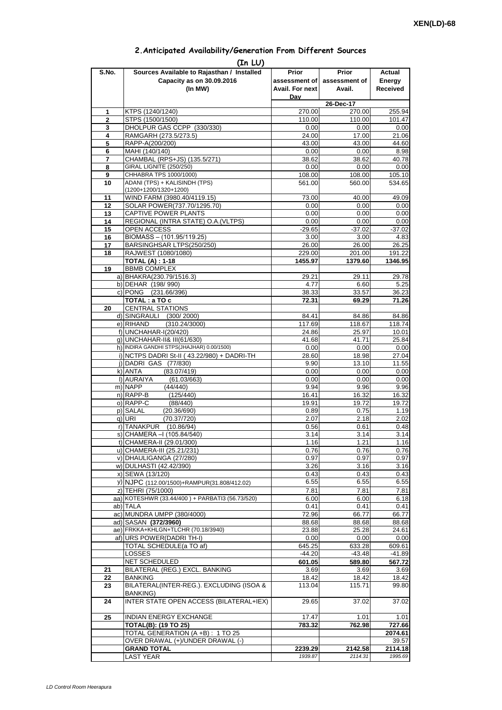| 2. Anticipated Availability/Generation From Different Sources |  |  |  |
|---------------------------------------------------------------|--|--|--|
|                                                               |  |  |  |

| S.No.               | (In LU)<br>Sources Available to Rajasthan / Installed                | Prior              | Prior              | Actual             |  |
|---------------------|----------------------------------------------------------------------|--------------------|--------------------|--------------------|--|
|                     | Capacity as on 30.09.2016                                            | assessment of      | assessment of      | Energy             |  |
|                     | (In MW)                                                              | Avail. For next    | Avail.             | <b>Received</b>    |  |
|                     |                                                                      | Dav                |                    |                    |  |
|                     |                                                                      |                    | 26-Dec-17          |                    |  |
| 1                   | KTPS (1240/1240)                                                     | 270.00             | 270.00             | 255.94             |  |
| $\overline{2}$<br>3 | STPS (1500/1500)<br>DHOLPUR GAS CCPP (330/330)                       | 110.00<br>0.00     | 110.00             | 101.47             |  |
| 4                   | RAMGARH (273.5/273.5)                                                | 24.00              | 0.00<br>17.00      | 0.00<br>21.06      |  |
| 5                   | RAPP-A(200/200)                                                      | 43.00              | 43.00              | 44.60              |  |
| 6                   | MAHI (140/140)                                                       | 0.00               | 0.00               | 8.98               |  |
| 7                   | CHAMBAL (RPS+JS) (135.5/271)                                         | 38.62              | 38.62              | 40.78              |  |
| 8                   | <b>GIRAL LIGNITE (250/250)</b>                                       | 0.00               | 0.00               | 0.00               |  |
| 9                   | CHHABRA TPS 1000/1000)                                               | 108.00             | 108.00             | 105.10             |  |
| 10                  | ADANI (TPS) + KALISINDH (TPS)<br>(1200+1200/1320+1200)               | 561.00             | 560.00             | 534.65             |  |
| 11                  | WIND FARM (3980.40/4119.15)                                          | 73.00              | 40.00              | 49.09              |  |
| 12                  | SOLAR POWER(737.70/1295.70)                                          | 0.00               | 0.00               | 0.00               |  |
| 13                  | CAPTIVE POWER PLANTS                                                 | 0.00               | 0.00               | 0.00               |  |
| 14                  | REGIONAL (INTRA STATE) O.A. (VLTPS)                                  | 0.00               | 0.00               | 0.00               |  |
| 15                  | OPEN ACCESS                                                          | $-29.65$           | $-37.02$           | $-37.02$           |  |
| 16                  | BIOMASS - (101.95/119.25)                                            | 3.00               | 3.00               | 4.83               |  |
| 17                  | BARSINGHSAR LTPS(250/250)                                            | 26.00              | 26.00              | 26.25              |  |
| 18                  | RAJWEST (1080/1080)                                                  | 229.00             | 201.00             | 191.22             |  |
|                     | <b>TOTAL (A): 1-18</b>                                               | 1455.97            | 1379.60            | 1346.95            |  |
| 19                  | <b>BBMB COMPLEX</b>                                                  |                    |                    |                    |  |
|                     | a) BHAKRA(230.79/1516.3)                                             | 29.21<br>4.77      | 29.11              | 29.78              |  |
|                     | b) DEHAR (198/990)<br>c) PONG (231.66/396)                           | 38.33              | 6.60<br>33.57      | 5.25<br>36.23      |  |
|                     | TOTAL : a TO c                                                       | 72.31              | 69.29              | 71.26              |  |
| 20                  | <b>CENTRAL STATIONS</b>                                              |                    |                    |                    |  |
|                     | d) SINGRAULI (300/2000)                                              | 84.41              | 84.86              | 84.86              |  |
|                     | e) RIHAND<br>(310.24/3000)                                           | 117.69             | 118.67             | 118.74             |  |
|                     | f) UNCHAHAR-I(20/420)                                                | 24.86              | 25.97              | 10.01              |  |
|                     | q) UNCHAHAR-II& III(61/630)                                          | 41.68              | 41.71              | 25.84              |  |
|                     | h) INDIRA GANDHI STPS(JHAJHAR) 0.00/1500)                            | 0.00               | 0.00               | 0.00               |  |
|                     | i) NCTPS DADRI St-II (43.22/980) + DADRI-TH                          | 28.60              | 18.98              | 27.04              |  |
|                     | j) DADRI GAS (77/830)                                                | 9.90               | 13.10              | 11.55              |  |
|                     | k) ANTA<br>(83.07/419)<br>I) AURAIYA<br>(61.03/663)                  | 0.00<br>0.00       | 0.00<br>0.00       | 0.00<br>0.00       |  |
|                     | m) NAPP<br>(44/440)                                                  | 9.94               | 9.96               | 9.96               |  |
|                     | n) RAPP-B<br>(125/440)                                               | 16.41              | 16.32              | 16.32              |  |
|                     | o) RAPP-C<br>(88/440)                                                | 19.91              | 19.72              | 19.72              |  |
|                     | p) SALAL<br>(20.36/690)                                              | 0.89               | 0.75               | 1.19               |  |
|                     | (70.37/720)<br>q) URI                                                | 2.07               | 2.18               | 2.02               |  |
|                     | r) TANAKPUR<br>(10.86/94)                                            | 0.56               | 0.61               | 0.48               |  |
|                     | s) CHAMERA –I (105.84/540)                                           | 3.14               | 3.14               | 3.14               |  |
|                     | t) CHAMERA-II (29.01/300)                                            | 1.16               | 1.21               | 1.16               |  |
|                     | u) CHAMERA-III (25.21/231)                                           | 0.76               | 0.76               | 0.76               |  |
|                     | v) DHAULIGANGA (27/280)<br>w) DULHASTI (42.42/390)                   | 0.97<br>3.26       | 0.97<br>3.16       | 0.97<br>3.16       |  |
|                     | x) SEWA (13/120)                                                     | 0.43               | 0.43               | 0.43               |  |
|                     | y) NJPC (112.00/1500)+RAMPUR(31.808/412.02)                          | 6.55               | 6.55               | 6.55               |  |
|                     | z) TEHRI (75/1000)                                                   | 7.81               | 7.81               | 7.81               |  |
|                     | aa) KOTESHWR (33.44/400) + PARBATI3 (56.73/520)                      | 6.00               | 6.00               | 6.18               |  |
|                     | ab) TALA                                                             | 0.41               | 0.41               | 0.41               |  |
|                     | ac) MUNDRA UMPP (380/4000)                                           | 72.96              | 66.77              | 66.77              |  |
|                     | ad) SASAN (372/3960)                                                 | 88.68              | 88.68              | 88.68              |  |
|                     | ae) FRKKA+KHLGN+TLCHR (70.18/3940)                                   | 23.88              | 25.28              | 24.61              |  |
|                     | af) URS POWER(DADRI TH-I)                                            | 0.00               | 0.00               | 0.00               |  |
|                     | TOTAL SCHEDULE(a TO af)<br><b>LOSSES</b>                             | 645.25             | 633.28             | 609.61             |  |
|                     | NET SCHEDULED                                                        | $-44.20$<br>601.05 | $-43.48$<br>589.80 | $-41.89$<br>567.72 |  |
| 21                  | BILATERAL (REG.) EXCL. BANKING                                       | 3.69               | 3.69               | 3.69               |  |
| 22                  | <b>BANKING</b>                                                       | 18.42              | 18.42              | 18.42              |  |
| 23                  | BILATERAL(INTER-REG.). EXCLUDING (ISOA &                             | 113.04             | 115.71             | 99.80              |  |
|                     | <b>BANKING)</b>                                                      |                    |                    |                    |  |
| 24                  | INTER STATE OPEN ACCESS (BILATERAL+IEX)                              | 29.65              | 37.02              | 37.02              |  |
|                     |                                                                      |                    |                    |                    |  |
| 25                  | <b>INDIAN ENERGY EXCHANGE</b>                                        | 17.47              | 1.01               | 1.01               |  |
|                     | <b>TOTAL(B): (19 TO 25)</b>                                          | 783.32             | 762.98             | 727.66             |  |
|                     | TOTAL GENERATION (A +B): 1 TO 25<br>OVER DRAWAL (+)/UNDER DRAWAL (-) |                    |                    | 2074.61<br>39.57   |  |
|                     | <b>GRAND TOTAL</b>                                                   | 2239.29            | 2142.58            | 2114.18            |  |
|                     | <b>LAST YEAR</b>                                                     | 1939.87            | 2114.31            | 1995.69            |  |
|                     |                                                                      |                    |                    |                    |  |